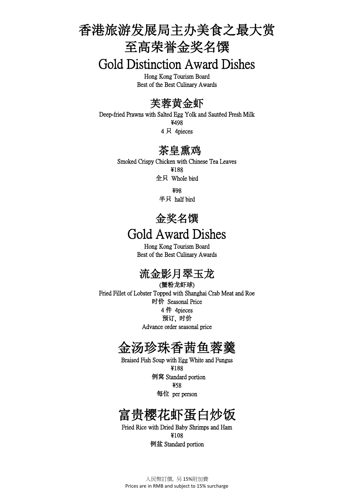# 香港旅游发展局主办美食之最大赏 至高荣誉金奖名馔

Gold Distinction Award Dishes

Hong Kong Tourism Board Best of the Best Culinary Awards

### 芙蓉黄金虾

Deep-fried Prawns with Salted Egg Yolk and Sautéed Fresh Milk ¥498 4 只 4pieces

#### 茶皇熏鸡

Smoked Crispy Chicken with Chinese Tea Leaves ¥188 全只 Whole bird

> ¥98 半只 half bird

## 金奖名馔 Gold Award Dishes

Hong Kong Tourism Board Best of the Best Culinary Awards

## 流金影月翠玉龙

(蟹粉龙虾球) Fried Fillet of Lobster Topped with Shanghai Crab Meat and Roe 时价 Seasonal Price 4 件 4pieces 预订, 时价 Advance order seasonal price

### 金汤珍珠香茜鱼蓉羹

Braised Fish Soup with Egg White and Fungus ¥188 例窝 Standard portion ¥58 每位 per person

## 富贵樱花虾蛋白炒饭

Fried Rice with Dried Baby Shrimps and Ham ¥108 例盆 Standard portion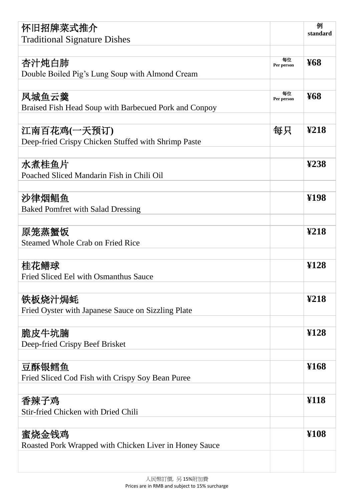| 怀旧招牌菜式推介                                               |                  | 例                       |
|--------------------------------------------------------|------------------|-------------------------|
| <b>Traditional Signature Dishes</b>                    |                  | standard                |
|                                                        |                  |                         |
| 杏汁炖白肺                                                  | 每位<br>Per person | <b>¥68</b>              |
| Double Boiled Pig's Lung Soup with Almond Cream        |                  |                         |
|                                                        |                  |                         |
| 凤城鱼云羹                                                  | 每位<br>Per person | <b>¥68</b>              |
| Braised Fish Head Soup with Barbecued Pork and Conpoy  |                  |                         |
|                                                        |                  |                         |
| 江南百花鸡(一天预订)                                            | 每只               | $\textcolor{blue}{218}$ |
| Deep-fried Crispy Chicken Stuffed with Shrimp Paste    |                  |                         |
|                                                        |                  |                         |
| 水煮桂鱼片                                                  |                  | $\mathbf{\Sigma}$ 38    |
| Poached Sliced Mandarin Fish in Chili Oil              |                  |                         |
|                                                        |                  |                         |
| 沙律烟鲳鱼                                                  |                  | ¥198                    |
| <b>Baked Pomfret with Salad Dressing</b>               |                  |                         |
|                                                        |                  |                         |
| 原笼蒸蟹饭                                                  |                  | $\mathbf{\Sigma}18$     |
| <b>Steamed Whole Crab on Fried Rice</b>                |                  |                         |
|                                                        |                  |                         |
| 桂花鳝球                                                   |                  | ¥128                    |
| Fried Sliced Eel with Osmanthus Sauce                  |                  |                         |
|                                                        |                  |                         |
| 铁板烧汁焗蚝                                                 |                  | $\mathbf{\Sigma}18$     |
| Fried Oyster with Japanese Sauce on Sizzling Plate     |                  |                         |
|                                                        |                  |                         |
| 脆皮牛坑腩                                                  |                  | $\mathbf{Y}$ 128        |
| Deep-fried Crispy Beef Brisket                         |                  |                         |
|                                                        |                  |                         |
| 豆酥银鳕鱼                                                  |                  | ¥168                    |
| Fried Sliced Cod Fish with Crispy Soy Bean Puree       |                  |                         |
|                                                        |                  |                         |
| 香辣子鸡                                                   |                  | ¥118                    |
| <b>Stir-fried Chicken with Dried Chili</b>             |                  |                         |
|                                                        |                  |                         |
| 蜜烧金钱鸡                                                  |                  | \$108                   |
| Roasted Pork Wrapped with Chicken Liver in Honey Sauce |                  |                         |
|                                                        |                  |                         |
|                                                        |                  |                         |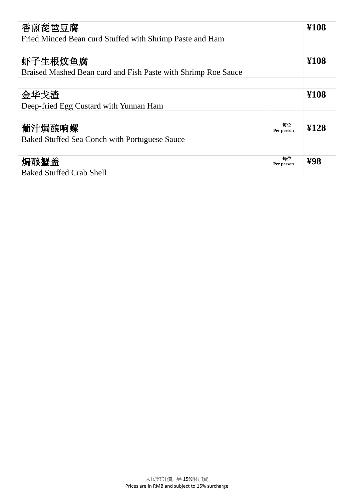| 香煎琵琶豆腐                                                        |                  | ¥108      |
|---------------------------------------------------------------|------------------|-----------|
| Fried Minced Bean curd Stuffed with Shrimp Paste and Ham      |                  |           |
|                                                               |                  |           |
| 虾子生根炆鱼腐                                                       |                  | ¥108      |
| Braised Mashed Bean curd and Fish Paste with Shrimp Roe Sauce |                  |           |
|                                                               |                  |           |
| 金华戈渣                                                          |                  | ¥108      |
| Deep-fried Egg Custard with Yunnan Ham                        |                  |           |
|                                                               |                  |           |
| 葡汁焗酿响螺                                                        | 每位<br>Per person | ¥128      |
| Baked Stuffed Sea Conch with Portuguese Sauce                 |                  |           |
|                                                               |                  |           |
| 焗酿蟹盖                                                          | 每位<br>Per person | <b>P8</b> |
| <b>Baked Stuffed Crab Shell</b>                               |                  |           |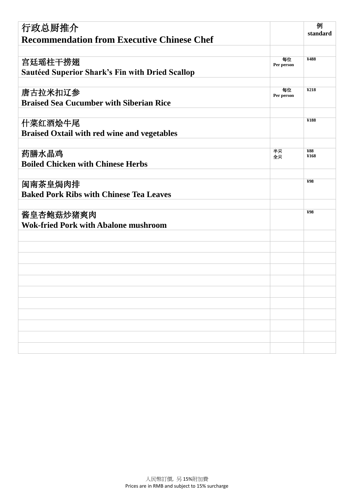| 行政总厨推介                                                 |                  | 例                      |
|--------------------------------------------------------|------------------|------------------------|
|                                                        |                  | standard               |
| <b>Recommendation from Executive Chinese Chef</b>      |                  |                        |
|                                                        |                  |                        |
| 宫廷瑶柱干捞翅                                                | 每位<br>Per person | ¥488                   |
| <b>Sautéed Superior Shark's Fin with Dried Scallop</b> |                  |                        |
|                                                        |                  |                        |
| 唐古拉米扣辽参                                                | 每位<br>Per person | \$218                  |
| <b>Braised Sea Cucumber with Siberian Rice</b>         |                  |                        |
|                                                        |                  |                        |
| 什菜红酒烩牛尾                                                |                  | ¥188                   |
| <b>Braised Oxtail with red wine and vegetables</b>     |                  |                        |
|                                                        |                  |                        |
| 药膳水晶鸡                                                  | 半只               | <b>¥88</b>             |
| <b>Boiled Chicken with Chinese Herbs</b>               | 全只               | ¥168                   |
|                                                        |                  |                        |
| 闽南茶皇焗肉排                                                |                  | $\mathbf{\mathbf{98}}$ |
| <b>Baked Pork Ribs with Chinese Tea Leaves</b>         |                  |                        |
|                                                        |                  |                        |
|                                                        |                  | $\mathbf{\mathbf{98}}$ |
| 酱皇杏鲍菇炒猪爽肉                                              |                  |                        |
| <b>Wok-fried Pork with Abalone mushroom</b>            |                  |                        |
|                                                        |                  |                        |
|                                                        |                  |                        |
|                                                        |                  |                        |
|                                                        |                  |                        |
|                                                        |                  |                        |
|                                                        |                  |                        |
|                                                        |                  |                        |
|                                                        |                  |                        |
|                                                        |                  |                        |
|                                                        |                  |                        |
|                                                        |                  |                        |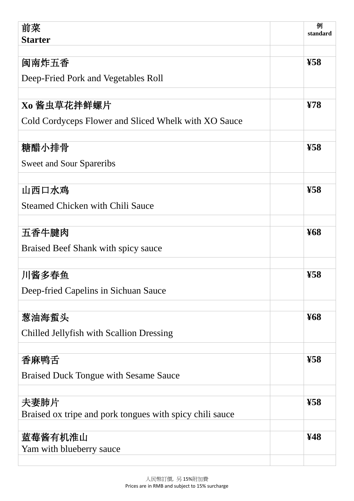| 前菜<br><b>Starter</b>                                     | 例<br>standard            |
|----------------------------------------------------------|--------------------------|
|                                                          |                          |
| 闽南炸五香                                                    | $\pmb{\mathfrak{F}8}$    |
| Deep-Fried Pork and Vegetables Roll                      |                          |
|                                                          |                          |
| Xo 酱虫草花拌鲜螺片                                              | Y/8                      |
| Cold Cordyceps Flower and Sliced Whelk with XO Sauce     |                          |
|                                                          |                          |
| 糖醋小排骨                                                    | $\mathbf{\mathfrak{B}8}$ |
| <b>Sweet and Sour Spareribs</b>                          |                          |
| 山西口水鸡                                                    | $\mathbf{\mathfrak{B}8}$ |
|                                                          |                          |
| <b>Steamed Chicken with Chili Sauce</b>                  |                          |
| 五香牛腱肉                                                    | <b>¥68</b>               |
| Braised Beef Shank with spicy sauce                      |                          |
|                                                          |                          |
| 川酱多春鱼                                                    | $\mathbf{\mathbf{F8}}$   |
| Deep-fried Capelins in Sichuan Sauce                     |                          |
|                                                          |                          |
| 葱油海蜇头                                                    | <b>¥68</b>               |
| Chilled Jellyfish with Scallion Dressing                 |                          |
|                                                          |                          |
| 香麻鸭舌                                                     | $\mathbf{\mathbf{F8}}$   |
| <b>Braised Duck Tongue with Sesame Sauce</b>             |                          |
|                                                          |                          |
| 夫妻肺片                                                     | $\mathbf{\mathbf{F8}}$   |
| Braised ox tripe and pork tongues with spicy chili sauce |                          |
| 蓝莓酱有机淮山                                                  | ¥48                      |
| Yam with blueberry sauce                                 |                          |
|                                                          |                          |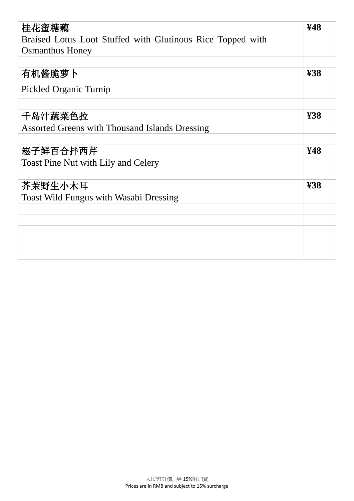| 桂花蜜糖藕<br>Braised Lotus Loot Stuffed with Glutinous Rice Topped with<br><b>Osmanthus Honey</b> | ¥48                     |
|-----------------------------------------------------------------------------------------------|-------------------------|
|                                                                                               |                         |
| 有机酱脆萝卜                                                                                        | $\mathbf{\mathbf{438}}$ |
| Pickled Organic Turnip                                                                        |                         |
|                                                                                               |                         |
| 千岛汁蔬菜色拉                                                                                       | \$88                    |
| <b>Assorted Greens with Thousand Islands Dressing</b>                                         |                         |
|                                                                                               |                         |
| 崧子鲜百合拌西芹                                                                                      | ¥48                     |
| <b>Toast Pine Nut with Lily and Celery</b>                                                    |                         |
|                                                                                               |                         |
| 芥茉野生小木耳                                                                                       | \$88                    |
| <b>Toast Wild Fungus with Wasabi Dressing</b>                                                 |                         |
|                                                                                               |                         |
|                                                                                               |                         |
|                                                                                               |                         |
|                                                                                               |                         |
|                                                                                               |                         |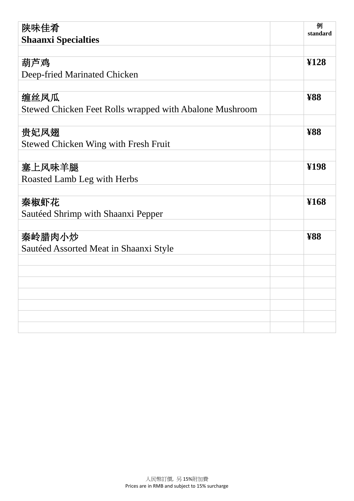| 陕味佳肴<br><b>Shaanxi Specialties</b>                      | 例<br>standard    |
|---------------------------------------------------------|------------------|
|                                                         |                  |
| 葫芦鸡                                                     | $\mathbf{Y}$ 128 |
| Deep-fried Marinated Chicken                            |                  |
|                                                         |                  |
| 缠丝凤瓜                                                    | <b>¥88</b>       |
| Stewed Chicken Feet Rolls wrapped with Abalone Mushroom |                  |
|                                                         |                  |
| 贵妃凤翅                                                    | <b>¥88</b>       |
| <b>Stewed Chicken Wing with Fresh Fruit</b>             |                  |
|                                                         |                  |
| 塞上风味羊腿                                                  | ¥198             |
| Roasted Lamb Leg with Herbs                             |                  |
|                                                         |                  |
| 秦椒虾花                                                    | ¥168             |
| Saut éed Shrimp with Shaanxi Pepper                     |                  |
|                                                         |                  |
| 秦岭腊肉小炒                                                  | <b>¥88</b>       |
| Saut éed Assorted Meat in Shaanxi Style                 |                  |
|                                                         |                  |
|                                                         |                  |
|                                                         |                  |
|                                                         |                  |
|                                                         |                  |
|                                                         |                  |
|                                                         |                  |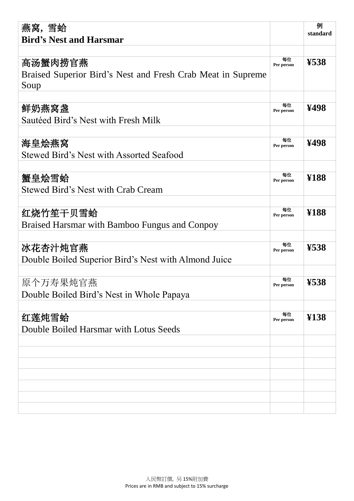| 燕窝,雪蛤<br><b>Bird's Nest and Harsmar</b>                                        |                  | 例<br>standard            |
|--------------------------------------------------------------------------------|------------------|--------------------------|
| 高汤蟹肉捞官燕<br>Braised Superior Bird's Nest and Fresh Crab Meat in Supreme<br>Soup | 每位<br>Per person | ¥538                     |
| 鲜奶燕窝盏<br>Sautéed Bird's Nest with Fresh Milk                                   | 每位<br>Per person | ¥498                     |
| 海皇烩燕窝<br><b>Stewed Bird's Nest with Assorted Seafood</b>                       | 每位<br>Per person | ¥498                     |
| 蟹皇烩雪蛤<br><b>Stewed Bird's Nest with Crab Cream</b>                             | 每位<br>Per person | ¥188                     |
| 红烧竹笙干贝雪蛤<br>Braised Harsmar with Bamboo Fungus and Conpoy                      | 每位<br>Per person | ¥188                     |
| 冰花杏汁炖官燕<br>Double Boiled Superior Bird's Nest with Almond Juice                | 每位<br>Per person | $\mathbf{\mathbf{K}}$ 38 |
| 原个万寿果炖官燕<br>Double Boiled Bird's Nest in Whole Papaya                          | 每位<br>Per person | ¥538                     |
| 红莲炖雪蛤<br>Double Boiled Harsmar with Lotus Seeds                                | 每位<br>Per person | ¥138                     |
|                                                                                |                  |                          |
|                                                                                |                  |                          |
|                                                                                |                  |                          |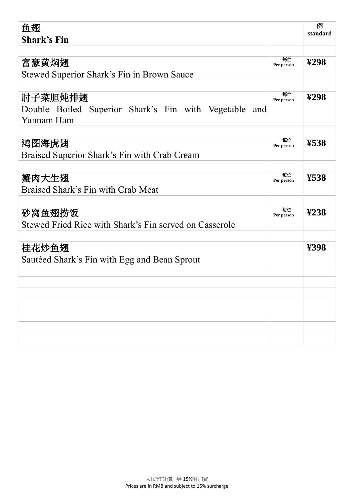| 鱼翅                                                       |                  | 例                            |
|----------------------------------------------------------|------------------|------------------------------|
| <b>Shark's Fin</b>                                       |                  | standard                     |
|                                                          |                  |                              |
| 富豪黄焖翅                                                    | 每位<br>Per person | $\mathbf{\Sigma}$ 98         |
| Stewed Superior Shark's Fin in Brown Sauce               |                  |                              |
|                                                          |                  |                              |
| 肘子菜胆炖排翅                                                  | 每位<br>Per person | $\mathbf{\Sigma}$ 98         |
| Double Boiled Superior Shark's Fin with Vegetable<br>and |                  |                              |
| Yunnam Ham                                               |                  |                              |
|                                                          |                  |                              |
| 鸿图海虎翅                                                    | 每位<br>Per person | $\mathbf{\mathbf{K}}$ 38     |
| Braised Superior Shark's Fin with Crab Cream             |                  |                              |
|                                                          |                  |                              |
| 蟹肉大生翅                                                    | 每位<br>Per person | $\mathbf{\mathbf{K}38}$      |
| Braised Shark's Fin with Crab Meat                       |                  |                              |
|                                                          |                  |                              |
| 砂窝鱼翅捞饭                                                   | 每位<br>Per person | $\mathbf{\mathbf{\Sigma}38}$ |
| Stewed Fried Rice with Shark's Fin served on Casserole   |                  |                              |
|                                                          |                  |                              |
| 桂花炒鱼翅                                                    |                  | ¥398                         |
| Sautéed Shark's Fin with Egg and Bean Sprout             |                  |                              |
|                                                          |                  |                              |
|                                                          |                  |                              |
|                                                          |                  |                              |
|                                                          |                  |                              |
|                                                          |                  |                              |
|                                                          |                  |                              |
|                                                          |                  |                              |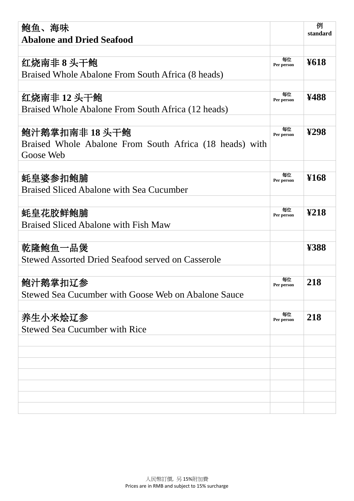| 鲍鱼、海味                                                                                  |                  | 例<br>standard        |
|----------------------------------------------------------------------------------------|------------------|----------------------|
| <b>Abalone and Dried Seafood</b>                                                       |                  |                      |
| 红烧南非8头干鲍<br>Braised Whole Abalone From South Africa (8 heads)                          | 每位<br>Per person | <b>¥618</b>          |
| 红烧南非 12 头干鲍<br>Braised Whole Abalone From South Africa (12 heads)                      | 每位<br>Per person | ¥488                 |
| 鲍汁鹅掌扣南非 18 头干鲍<br>Braised Whole Abalone From South Africa (18 heads) with<br>Goose Web | 每位<br>Per person | $\mathbf{\Sigma}$ 98 |
| 蚝皇婆参扣鲍脯<br><b>Braised Sliced Abalone with Sea Cucumber</b>                             | 每位<br>Per person | ¥168                 |
| 蚝皇花胶鲜鲍脯<br><b>Braised Sliced Abalone with Fish Maw</b>                                 | 每位<br>Per person | $\mathbf{\Sigma}18$  |
| 乾隆鲍鱼一品煲<br>Stewed Assorted Dried Seafood served on Casserole                           |                  | ¥388                 |
| 鲍汁鹅掌扣辽参<br>Stewed Sea Cucumber with Goose Web on Abalone Sauce                         | 每位<br>Per person | 218                  |
| 养生小米烩辽参<br><b>Stewed Sea Cucumber with Rice</b>                                        | 每位<br>Per person | 218                  |
|                                                                                        |                  |                      |
|                                                                                        |                  |                      |
|                                                                                        |                  |                      |
|                                                                                        |                  |                      |
|                                                                                        |                  |                      |
|                                                                                        |                  |                      |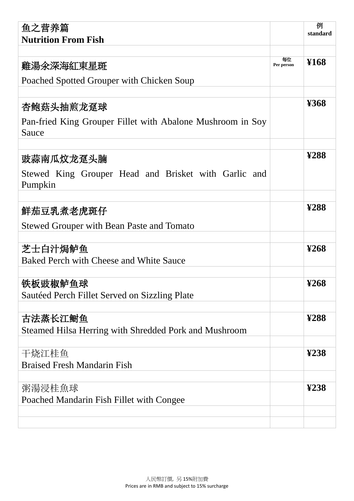| 鱼之营养篇                                                               |                  | 例<br>standard                  |
|---------------------------------------------------------------------|------------------|--------------------------------|
| <b>Nutrition From Fish</b>                                          |                  |                                |
| 雞湯氽深海紅東星斑                                                           | 每位<br>Per person | ¥168                           |
| Poached Spotted Grouper with Chicken Soup                           |                  |                                |
| 杏鲍菇头抽煎龙趸球                                                           |                  | $\&$ 68                        |
| Pan-fried King Grouper Fillet with Abalone Mushroom in Soy<br>Sauce |                  |                                |
| 豉蒜南瓜炆龙趸头腩                                                           |                  | ¥288                           |
| Stewed King Grouper Head and Brisket with Garlic and<br>Pumpkin     |                  |                                |
| 鮮茄豆乳煮老虎斑仔                                                           |                  | ¥288                           |
| <b>Stewed Grouper with Bean Paste and Tomato</b>                    |                  |                                |
| 芝士白汁焗鲈鱼<br>Baked Perch with Cheese and White Sauce                  |                  | $\mathbf{\Sigma}68$            |
|                                                                     |                  |                                |
| 铁板豉椒鲈鱼球<br>Saut éed Perch Fillet Served on Sizzling Plate           |                  | $\boldsymbol{\mathfrak{P}}$ 68 |
| 古法蒸长江鲥鱼<br>Steamed Hilsa Herring with Shredded Pork and Mushroom    |                  | ¥288                           |
|                                                                     |                  |                                |
| 干烧江桂鱼<br><b>Braised Fresh Mandarin Fish</b>                         |                  | $\mathbf{\mathbf{\Sigma}38}$   |
|                                                                     |                  |                                |
| 粥湯浸桂魚球<br>Poached Mandarin Fish Fillet with Congee                  |                  | $\mathbf{\mathfrak{L}38}$      |
|                                                                     |                  |                                |
|                                                                     |                  |                                |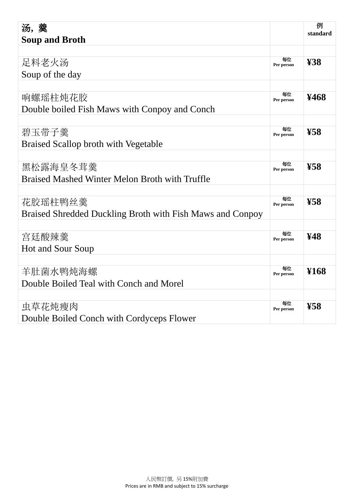| 汤,羹                                                       |                  | 例                     |
|-----------------------------------------------------------|------------------|-----------------------|
| <b>Soup and Broth</b>                                     |                  | standard              |
|                                                           |                  |                       |
| 足料老火汤                                                     | 每位<br>Per person | $\pmb{Y}38$           |
| Soup of the day                                           |                  |                       |
|                                                           |                  |                       |
| 响螺瑶柱炖花胶                                                   | 每位<br>Per person | ¥468                  |
| Double boiled Fish Maws with Conpoy and Conch             |                  |                       |
|                                                           |                  |                       |
| 碧玉带子羹                                                     | 每位<br>Per person | $\pmb{\mathfrak{F}8}$ |
| <b>Braised Scallop broth with Vegetable</b>               |                  |                       |
|                                                           |                  |                       |
| 黑松露海皇冬茸羹                                                  | 每位<br>Per person | $\pmb{\mathfrak{F}8}$ |
| <b>Braised Mashed Winter Melon Broth with Truffle</b>     |                  |                       |
|                                                           |                  |                       |
| 花胶瑶柱鸭丝羹                                                   | 每位<br>Per person | $\pmb{\mathfrak{F}8}$ |
| Braised Shredded Duckling Broth with Fish Maws and Conpoy |                  |                       |
|                                                           |                  |                       |
| 宫廷酸辣羹                                                     | 每位<br>Per person | ¥48                   |
| <b>Hot and Sour Soup</b>                                  |                  |                       |
|                                                           |                  |                       |
| 羊肚菌水鸭炖海螺                                                  | 每位<br>Per person | ¥168                  |
| Double Boiled Teal with Conch and Morel                   |                  |                       |
|                                                           |                  |                       |
| 虫草花炖瘦肉                                                    | 每位<br>Per person | $\pmb{\mathfrak{F}8}$ |
| Double Boiled Conch with Cordyceps Flower                 |                  |                       |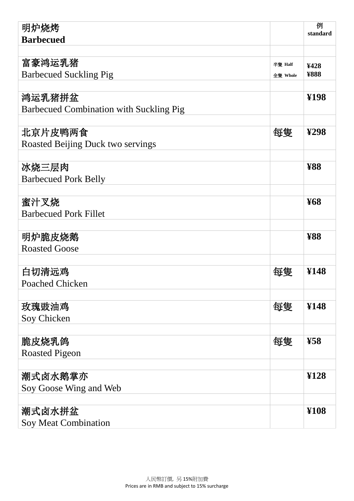| 明炉烧烤                                    |          | 例<br>standard           |
|-----------------------------------------|----------|-------------------------|
| <b>Barbecued</b>                        |          |                         |
|                                         |          |                         |
| 富豪鸿运乳猪                                  | 半隻 Half  | ¥428                    |
| <b>Barbecued Suckling Pig</b>           | 全隻 Whole | <b>¥888</b>             |
|                                         |          |                         |
| 鸿运乳猪拼盆                                  |          | ¥198                    |
| Barbecued Combination with Suckling Pig |          |                         |
|                                         |          |                         |
| 北京片皮鸭两食                                 | 每隻       | $\mathbf{\Sigma}$ 98    |
| Roasted Beijing Duck two servings       |          |                         |
|                                         |          |                         |
| 冰烧三层肉                                   |          | <b>¥88</b>              |
| <b>Barbecued Pork Belly</b>             |          |                         |
|                                         |          |                         |
| 蜜汁叉烧                                    |          | <b>¥68</b>              |
| <b>Barbecued Pork Fillet</b>            |          |                         |
|                                         |          |                         |
| 明炉脆皮烧鹅                                  |          | <b>¥88</b>              |
| <b>Roasted Goose</b>                    |          |                         |
|                                         |          |                         |
| 白切清远鸡                                   | 每隻       | ¥148                    |
| Poached Chicken                         |          |                         |
| 玫瑰豉油鸡                                   | 每隻       | ¥148                    |
| Soy Chicken                             |          |                         |
|                                         |          |                         |
| 脆皮烧乳鸽                                   | 每隻       | $\mathbf{\mathbf{K}}$ 8 |
| <b>Roasted Pigeon</b>                   |          |                         |
|                                         |          |                         |
| 潮式卤水鹅掌亦                                 |          | $\mathbf{H}28$          |
| Soy Goose Wing and Web                  |          |                         |
|                                         |          |                         |
| 潮式卤水拼盆                                  |          | ¥108                    |
| Soy Meat Combination                    |          |                         |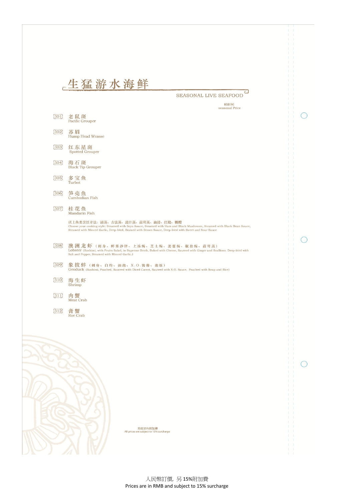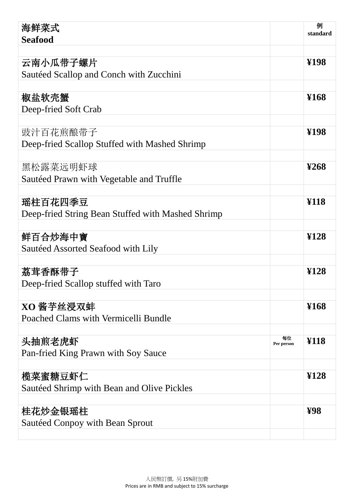| 海鲜菜式                                              |                  | 例<br>standard              |
|---------------------------------------------------|------------------|----------------------------|
| <b>Seafood</b>                                    |                  |                            |
|                                                   |                  |                            |
| 云南小瓜带子螺片                                          |                  | ¥198                       |
| Saut éed Scallop and Conch with Zucchini          |                  |                            |
| 椒盐软壳蟹                                             |                  | ¥168                       |
| Deep-fried Soft Crab                              |                  |                            |
|                                                   |                  |                            |
| 豉汁百花煎酿带子                                          |                  | ¥198                       |
| Deep-fried Scallop Stuffed with Mashed Shrimp     |                  |                            |
|                                                   |                  |                            |
| 黑松露菜远明虾球                                          |                  | $\mathbf{\mathfrak{V}368}$ |
| Saut éed Prawn with Vegetable and Truffle         |                  |                            |
|                                                   |                  |                            |
| 瑶柱百花四季豆                                           |                  | \$18                       |
| Deep-fried String Bean Stuffed with Mashed Shrimp |                  |                            |
|                                                   |                  |                            |
| 鲜百合炒海中寶                                           |                  | ¥128                       |
| Saut éed Assorted Seafood with Lily               |                  |                            |
|                                                   |                  | \$128                      |
| 荔茸香酥带子                                            |                  |                            |
| Deep-fried Scallop stuffed with Taro              |                  |                            |
| XO 酱芋丝浸双蚌                                         |                  | ¥168                       |
| Poached Clams with Vermicelli Bundle              |                  |                            |
|                                                   |                  |                            |
| 头抽煎老虎虾                                            | 每位<br>Per person | ¥118                       |
| Pan-fried King Prawn with Soy Sauce               |                  |                            |
|                                                   |                  |                            |
| 榄菜蜜糖豆虾仁                                           |                  | ¥128                       |
| Saut éed Shrimp with Bean and Olive Pickles       |                  |                            |
|                                                   |                  |                            |
| 桂花炒金银瑶柱                                           |                  | $\mathbf{\mathcal{P}8}$    |
| Saut éed Conpoy with Bean Sprout                  |                  |                            |
|                                                   |                  |                            |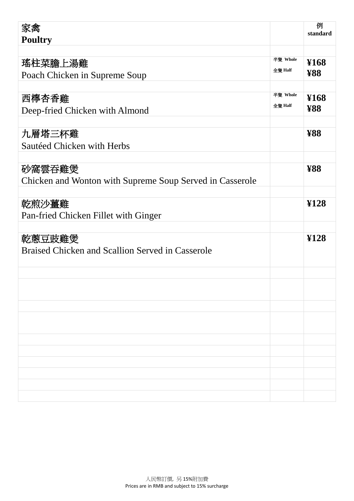| 家禽                                                       |          | 例<br>standard         |
|----------------------------------------------------------|----------|-----------------------|
| <b>Poultry</b>                                           |          |                       |
|                                                          |          |                       |
| 瑤柱菜膽上湯雞                                                  | 半隻 Whole | ¥168                  |
| Poach Chicken in Supreme Soup                            | 全隻 Half  | <b>¥88</b>            |
|                                                          |          |                       |
| 西檸杏香雞                                                    | 半隻 Whole | ¥168                  |
| Deep-fried Chicken with Almond                           | 全隻 Half  | <b>¥88</b>            |
|                                                          |          |                       |
| 九層塔三杯雞                                                   |          | $\mathbf{\mathbf{W}}$ |
| Saut éed Chicken with Herbs                              |          |                       |
|                                                          |          |                       |
| 砂窩雲吞雞煲                                                   |          | <b>¥88</b>            |
| Chicken and Wonton with Supreme Soup Served in Casserole |          |                       |
|                                                          |          |                       |
| 乾煎沙薑雞                                                    |          | $\mathbf{Y}$ 128      |
| Pan-fried Chicken Fillet with Ginger                     |          |                       |
|                                                          |          |                       |
| 乾蔥豆豉雞煲                                                   |          | \$128                 |
| Braised Chicken and Scallion Served in Casserole         |          |                       |
|                                                          |          |                       |
|                                                          |          |                       |
|                                                          |          |                       |
|                                                          |          |                       |
|                                                          |          |                       |
|                                                          |          |                       |
|                                                          |          |                       |
|                                                          |          |                       |
|                                                          |          |                       |
|                                                          |          |                       |
|                                                          |          |                       |
|                                                          |          |                       |
|                                                          |          |                       |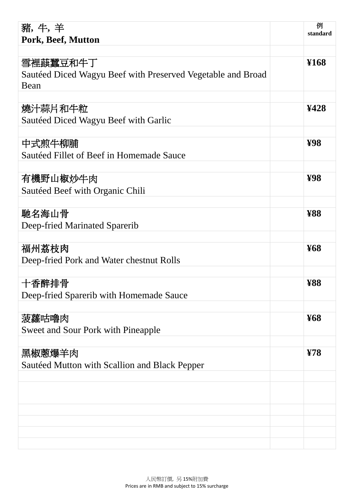| 豬,牛,羊<br>Pork, Beef, Mutton                                  | 例<br>standard            |
|--------------------------------------------------------------|--------------------------|
|                                                              |                          |
| 雪裡蕻蠶豆和牛丁                                                     | ¥168                     |
| Saut éed Diced Wagyu Beef with Preserved Vegetable and Broad |                          |
| Bean                                                         |                          |
|                                                              |                          |
| 燒汁蒜片和牛粒                                                      | ¥428                     |
| Saut éed Diced Wagyu Beef with Garlic                        |                          |
|                                                              |                          |
| 中式煎牛柳脯                                                       | $\mathbf{\mathfrak{B}8}$ |
| Saut éed Fillet of Beef in Homemade Sauce                    |                          |
| 有機野山椒炒牛肉                                                     | $\mathbf{\mathcal{H}}$   |
| Saut éed Beef with Organic Chili                             |                          |
|                                                              |                          |
| 馳名海山骨                                                        | <b>¥88</b>               |
| Deep-fried Marinated Sparerib                                |                          |
|                                                              |                          |
| 福州荔枝肉                                                        | <b>¥68</b>               |
| Deep-fried Pork and Water chestnut Rolls                     |                          |
|                                                              |                          |
| 十香醉排骨                                                        | $\mathbf{\mathbf{W}}$    |
| Deep-fried Sparerib with Homemade Sauce                      |                          |
|                                                              |                          |
| 菠蘿咕嚕肉                                                        | <b>¥68</b>               |
| <b>Sweet and Sour Pork with Pineapple</b>                    |                          |
|                                                              |                          |
| 黑椒蔥爆羊肉                                                       | $\overline{Y}$ 8         |
| Saut éed Mutton with Scallion and Black Pepper               |                          |
|                                                              |                          |
|                                                              |                          |
|                                                              |                          |
|                                                              |                          |
|                                                              |                          |
|                                                              |                          |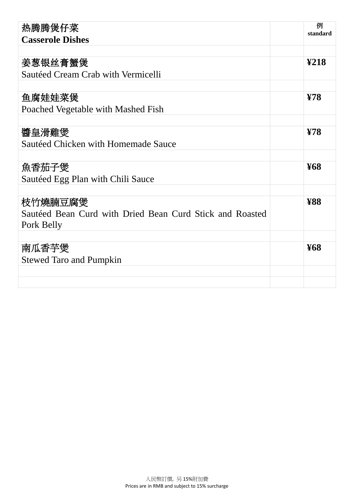| 热腾腾煲仔菜                                                    | 例<br>standard             |
|-----------------------------------------------------------|---------------------------|
| <b>Casserole Dishes</b>                                   |                           |
|                                                           |                           |
| 姜葱银丝膏蟹煲                                                   | $\mathbf{\mathfrak{L}18}$ |
| Saut éed Cream Crab with Vermicelli                       |                           |
|                                                           |                           |
| 鱼腐娃娃菜煲                                                    | Y/8                       |
| Poached Vegetable with Mashed Fish                        |                           |
|                                                           |                           |
| 醬皇滑雞煲                                                     | $\overline{Y}8$           |
| Saut éed Chicken with Homemade Sauce                      |                           |
|                                                           |                           |
| 魚香茄子煲                                                     | <b>¥68</b>                |
| Saut éed Egg Plan with Chili Sauce                        |                           |
|                                                           |                           |
| 枝竹燒腩豆腐煲                                                   | <b>¥88</b>                |
| Saut éed Bean Curd with Dried Bean Curd Stick and Roasted |                           |
| Pork Belly                                                |                           |
|                                                           |                           |
| 南瓜香芋煲                                                     | <b>¥68</b>                |
| <b>Stewed Taro and Pumpkin</b>                            |                           |
|                                                           |                           |
|                                                           |                           |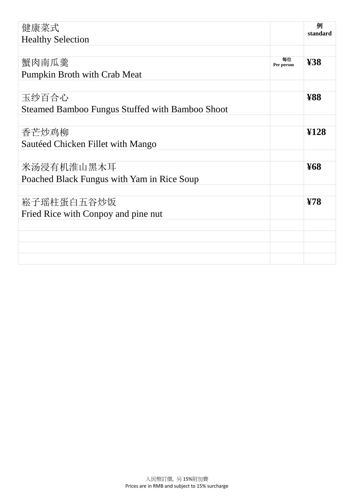| 健康菜式                                                   |                  | 例<br>standard    |
|--------------------------------------------------------|------------------|------------------|
| <b>Healthy Selection</b>                               |                  |                  |
|                                                        |                  |                  |
| 蟹肉南瓜羹                                                  | 每位<br>Per person | ¥38              |
| Pumpkin Broth with Crab Meat                           |                  |                  |
|                                                        |                  |                  |
| 玉纱百合心                                                  |                  | <b>¥88</b>       |
| <b>Steamed Bamboo Fungus Stuffed with Bamboo Shoot</b> |                  |                  |
|                                                        |                  |                  |
| 香芒炒鸡柳                                                  |                  | $\mathbf{Y}$ 128 |
| Saut éed Chicken Fillet with Mango                     |                  |                  |
|                                                        |                  |                  |
| 米汤浸有机淮山黑木耳                                             |                  | <b>¥68</b>       |
| Poached Black Fungus with Yam in Rice Soup             |                  |                  |
|                                                        |                  |                  |
| 崧子瑶柱蛋白五谷炒饭                                             |                  | $\overline{Y}8$  |
| Fried Rice with Conpoy and pine nut                    |                  |                  |
|                                                        |                  |                  |
|                                                        |                  |                  |
|                                                        |                  |                  |
|                                                        |                  |                  |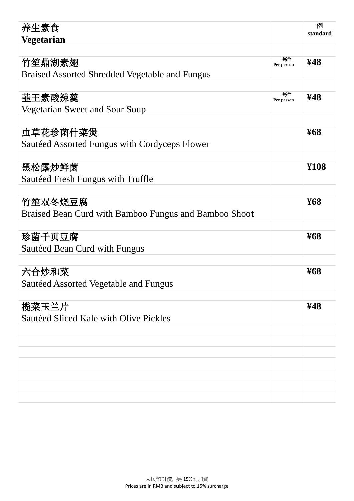| 养生素食                                                  |                  | 例<br>standard |
|-------------------------------------------------------|------------------|---------------|
| <b>Vegetarian</b>                                     |                  |               |
|                                                       |                  |               |
| 竹笙鼎湖素翅                                                | 每位<br>Per person | ¥48           |
| <b>Braised Assorted Shredded Vegetable and Fungus</b> |                  |               |
|                                                       |                  |               |
| 韮王素酸辣羹                                                | 每位<br>Per person | ¥48           |
| Vegetarian Sweet and Sour Soup                        |                  |               |
|                                                       |                  |               |
| 虫草花珍菌什菜煲                                              |                  | <b>¥68</b>    |
| Saut éed Assorted Fungus with Cordyceps Flower        |                  |               |
|                                                       |                  |               |
| 黑松露炒鲜菌                                                |                  | ¥108          |
| Saut éed Fresh Fungus with Truffle                    |                  |               |
|                                                       |                  |               |
| 竹笙双冬烧豆腐                                               |                  | <b>¥68</b>    |
| Braised Bean Curd with Bamboo Fungus and Bamboo Shoot |                  |               |
|                                                       |                  |               |
| 珍菌千页豆腐                                                |                  | <b>¥68</b>    |
| Saut éed Bean Curd with Fungus                        |                  |               |
|                                                       |                  |               |
| 六合炒和菜                                                 |                  | <b>¥68</b>    |
| Saut éed Assorted Vegetable and Fungus                |                  |               |
|                                                       |                  |               |
| 榄菜玉兰片                                                 |                  | ¥48           |
| Saut éed Sliced Kale with Olive Pickles               |                  |               |
|                                                       |                  |               |
|                                                       |                  |               |
|                                                       |                  |               |
|                                                       |                  |               |
|                                                       |                  |               |
|                                                       |                  |               |
|                                                       |                  |               |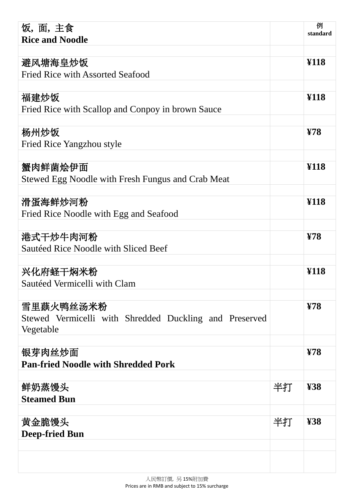| 饭,面,主食                                                 |    | 例<br>standard    |
|--------------------------------------------------------|----|------------------|
| <b>Rice and Noodle</b>                                 |    |                  |
| 避风塘海皇炒饭                                                |    | ¥118             |
| <b>Fried Rice with Assorted Seafood</b>                |    |                  |
|                                                        |    |                  |
| 福建炒饭                                                   |    | ¥118             |
| Fried Rice with Scallop and Conpoy in brown Sauce      |    |                  |
|                                                        |    |                  |
| 杨州炒饭                                                   |    | $\overline{Y}8$  |
| Fried Rice Yangzhou style                              |    |                  |
|                                                        |    |                  |
| 蟹肉鲜菌烩伊面                                                |    | ¥118             |
| Stewed Egg Noodle with Fresh Fungus and Crab Meat      |    |                  |
|                                                        |    |                  |
| 滑蛋海鲜炒河粉                                                |    | ¥118             |
| Fried Rice Noodle with Egg and Seafood                 |    |                  |
|                                                        |    |                  |
| 港式干炒牛肉河粉                                               |    | Y/8              |
| Saut éed Rice Noodle with Sliced Beef                  |    |                  |
|                                                        |    |                  |
| 兴化府蛏干焖米粉                                               |    | ¥118             |
| Saut éed Vermicelli with Clam                          |    |                  |
| 雪里蕻火鸭丝汤米粉                                              |    | $\overline{Y}$ 8 |
| Stewed Vermicelli with Shredded Duckling and Preserved |    |                  |
| Vegetable                                              |    |                  |
|                                                        |    |                  |
| 银芽肉丝炒面                                                 |    | $\overline{Y}8$  |
| <b>Pan-fried Noodle with Shredded Pork</b>             |    |                  |
|                                                        |    |                  |
| 鲜奶蒸馒头                                                  | 半打 | $\pmb{F}$        |
| <b>Steamed Bun</b>                                     |    |                  |
|                                                        |    |                  |
| 黄金脆馒头                                                  | 半打 | 438              |
| <b>Deep-fried Bun</b>                                  |    |                  |
|                                                        |    |                  |
|                                                        |    |                  |
|                                                        |    |                  |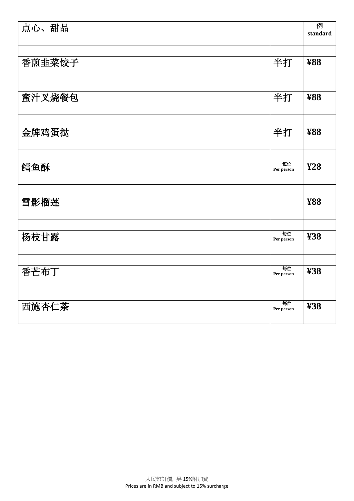| 点心、甜品  |                  | 例<br>standard               |
|--------|------------------|-----------------------------|
|        |                  |                             |
| 香煎韭菜饺子 | 半打               | <b>¥88</b>                  |
|        |                  |                             |
|        |                  |                             |
| 蜜汁叉烧餐包 | 半打               | <b>¥88</b>                  |
|        |                  |                             |
| 金牌鸡蛋挞  | 半打               | <b>¥88</b>                  |
|        |                  |                             |
|        |                  |                             |
| 鳕鱼酥    | 每位<br>Per person | $\mathbf{\mathbf{\Sigma}8}$ |
|        |                  |                             |
| 雪影榴莲   |                  | <b>¥88</b>                  |
|        |                  |                             |
|        | 每位               |                             |
| 杨枝甘露   | Per person       | \$88                        |
|        |                  |                             |
| 香芒布丁   | 每位<br>Per person | \$88                        |
|        |                  |                             |
|        | 每位               |                             |
| 西施杏仁茶  | Per person       | \$88                        |
|        |                  |                             |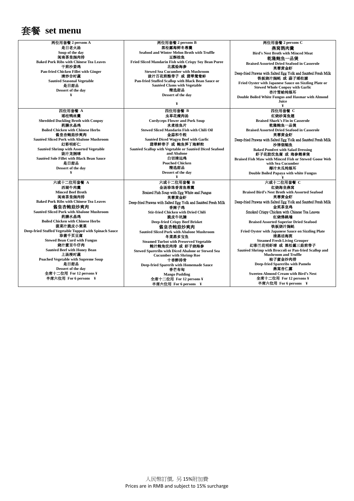

全席十二位用 **For 12 persons ¥** 半席六位用 **For 6 persons ¥**

两位用套餐 **2 persons A** 是日老火汤 **Soup of the day** 闽南茶皇焗肉排 **Baked Pork Ribs with Chinese Tea Leaves** 干煎沙姜鸡 **Pan-fried Chicken Fillet with Ginger** 清炒合时蔬 **Sautéed Seasonal Vegetable**  是日甜品 **Dessert of the day ¥** 两位用套餐 **2 persons B** 黑松露海鲜冬蓉羹 **Seafood and Winter Melon Broth with Truffle** 豆酥桂鱼 **Fried Sliced Mandarin Fish with Crispy Soy Bean Puree** 北菰烩海参 **Stewed Sea Cucumber with Mushroom** 豉汁百花煎酿带子 或 翡翠鸳鸯蚌 **Pan-fried Stuffed Scallop with Black Bean Sauce or Sautéed Clams with Vegetable** 精选甜品 **Dessert of the day ¥** 两位用套餐 **2 persons C** 燕窝鹊肉羹 **Bird's Nest Broth with Minced Meat** 乾隆鲍鱼一品煲 **Braised Assorted Dried Seafood in Casserole** 芙蓉黄金虾 Deep-fried Prawns with Salted Egg Yolk and Sautéed Fresh Milk 铁板烧汁焗蚝 或 蒜子瑶柱脯 **Fried Oyster with Japanese Sauce on Sizzling Plate or Stewed Whole Conpoy with Garlic** 杏汁雪蛤炖银耳 **Double Boiled White Fungus and Hasmar with Almond Juice ¥** 四位用套餐 **A** コロルス 【 **Shredded Duckling Broth with Conpoy** 药膳水晶鸡 **Boiled Chicken with Chinese Herbs** 酱皇杏鲍菇炒爽肉 **Sautéed Sliced Pork with Abalone Mushroom** 幻彩明虾仁 **Sautéed Shrimp with Assorted Vegetable** 豉汁龙脷球 **Sautéed Sole Fillet with Black Bean Sauce** 是日甜品 **Dessert of the day ¥** 四位用套餐 **B** 虫草花瘦肉汤 **Cordyceps Flower and Pork Soup** 水煮桂鱼片 **Stewed Sliced Mandarin Fish with Chili Oil** 金蒜和牛粒 **Sautéed Diced Wagyu Beef with Garlic** 翡翠鲜带子 或 鲍鱼笋丁海鲜粉 **Sautéed Scallop with Vegetable or Sautéed Diced Seafood and Abalone**  白切清远鸡 **Poached Chicken** 精选甜品 **Dessert of the day ¥** 四位用套餐 **C** 红烧砂窝鱼翅 **Braised Shark's Fin in Casserole** 乾隆鲍鱼一品煲 **Braised Assorted Dried Seafood in Casserole** 芙蓉黄金虾 Deep-fried Prawns with Salted Egg Yolk and Sautéed Fresh Milk 沙律烟鲳鱼 **Baked Pomfret with Salad Dressing 虾子花胶炆鱼腐 或 海参鹅掌煲 Braised Fish Maw with Minced Fish or Stewed Goose Web with Sea Cucumber** 椰汁木瓜炖银耳 **Double Boiled Papaya with white Fungus ¥** 六或十二位用套餐 **C** 六或十二位用套餐 **A** 西湖牛肉羹 **Minced Beef Broth**  闽南茶皇焗肉排 **Baked Pork Ribs with Chinese Tea Leaves** 酱皇杏鲍菇炒爽肉 **Sautéed Sliced Pork with Abalone Mushroom** 药膳水晶鸡 **Boiled Chicken with Chinese Herbs** 菠菜汁脆皮小棠菜 **Deep-fried Stuffed Vegetable Topped with Spinach Sauce** 珍菌千页豆腐 **Stewed Bean Curd with Fungus** 烧汁蜜豆牛仔肉 **Sautéed Beef with Honey Bean** 上汤浸时蔬 **Poached Vegetable with Supreme Soup** 是日甜品 **Dessert of the day** 六或十二位用套餐 **B** 金汤珍珠香茜鱼蓉羹 Braised Fish Soup with Egg White and Fungus 芙蓉黄金虾 Deep-fried Prawns with Salted Egg Yolk and Sautéed Fresh Milk 香辣子鸡 **Stir-fried Chicken with Dried Chili** 脆皮牛坑腩 **Deep-fried Crispy Beef Brisket** 酱皇杏鲍菇炒爽肉 **Sautéed Sliced Pork with Abalone Mushroom** 冬菜蒸多宝鱼 **Steamed Turbot with Preserved Vegetable** 鲍汁鲍角炆肉排 或 虾子烧海参 **Stewed Spareribs with Diced Abalone or Stewed Sea Cucumber with Shrimp Roe** 十香醉排骨 **Deep-fried Sparerib with Homemade Sauce** 香芒布甸 红烧海皇燕窝 **Braised Bird's Nest Broth with Assorted Seafood** 芙蓉黄金虾 Deep-fried Prawns with Salted Egg Yolk and Sautéed Fresh Milk 金奖茶皇鸡 Smoked Crispy Chicken with Chinese Tea Leaves 红烧佛跳墙<br>ted Superior Dried Seafood **Braised Assorted Super** 铁板烧汁焗蚝 **Fried Oyster with Japanese Sauce on Sizzling Plate** 清蒸活海斑 **Steamed Fresh Living Grouper** 幻彩兰花明虾球 或 黑松露三菇煎带子 **Sautéed Shrimp with Broccoli or Pan-fried Scallop and Mushroom and Truffle** 柚子蜜金沙肉排 **Deep-fried Spareribs with Pamelo**  燕窝杏仁露

**Mango Pudding** 全席十二位用 **For 12 persons ¥** 半席六位用 **For 6 persons ¥**

**Sweeten Almond Cream with Bird's Nest** 全席十二位用 **For 12 persons ¥** 半席六位用 **For 6 persons ¥**